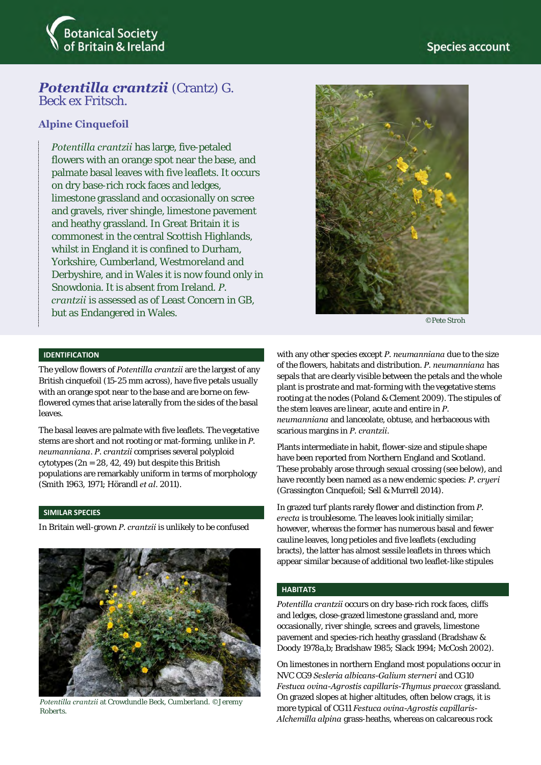

# *Potentilla crantzii (Crantz) G.*

Beck ex Fritsch.

### **Alpine Cinquefoil**

*Potentilla crantzii* has large, five-petaled flowers with an orange spot near the base, and palmate basal leaves with five leaflets. It occurs on dry base-rich rock faces and ledges, limestone grassland and occasionally on scree and gravels, river shingle, limestone pavement and heathy grassland. In Great Britain it is commonest in the central Scottish Highlands, whilst in England it is confined to Durham, Yorkshire, Cumberland, Westmoreland and Derbyshire, and in Wales it is now found only in Snowdonia. It is absent from Ireland. *P. crantzii* is assessed as of Least Concern in GB, but as Endangered in Wales.



©Pete Stroh

### **IDENTIFICATION**

The yellow flowers of *Potentilla crantzii* are the largest of any British cinquefoil (15-25 mm across), have five petals usually with an orange spot near to the base and are borne on fewflowered cymes that arise laterally from the sides of the basal leaves.

The basal leaves are palmate with five leaflets. The vegetative stems are short and not rooting or mat-forming, unlike in *P. neumanniana*. *P. crantzii* comprises several polyploid cytotypes (2n = 28, 42, 49) but despite this British populations are remarkably uniform in terms of morphology (Smith 1963, 1971; Hörandl *et al*. 2011).

#### **SIMILAR SPECIES**

In Britain well-grown *P. crantzii* is unlikely to be confused



*Potentilla crantzii* at Crowdundle Beck, Cumberland. ©Jeremy **Roberts** 

with any other species except *P. neumanniana* due to the size of the flowers, habitats and distribution. *P. neumanniana* has sepals that are clearly visible between the petals and the whole plant is prostrate and mat-forming with the vegetative stems rooting at the nodes (Poland & Clement 2009). The stipules of the stem leaves are linear, acute and entire in *P. neumanniana* and lanceolate, obtuse, and herbaceous with scarious margins in *P. crantzii*.

Plants intermediate in habit, flower-size and stipule shape have been reported from Northern England and Scotland. These probably arose through sexual crossing (see below), and have recently been named as a new endemic species: *P. cryeri* (Grassington Cinquefoil; Sell & Murrell 2014).

In grazed turf plants rarely flower and distinction from *P. erecta* is troublesome. The leaves look initially similar; however, whereas the former has numerous basal and fewer cauline leaves, long petioles and five leaflets (excluding bracts), the latter has almost sessile leaflets in threes which appear similar because of additional two leaflet-like stipules

### **HABITATS**

*Potentilla crantzii* occurs on dry base-rich rock faces, cliffs and ledges, close-grazed limestone grassland and, more occasionally, river shingle, screes and gravels, limestone pavement and species-rich heathy grassland (Bradshaw & Doody 1978a,b; Bradshaw 1985; Slack 1994; McCosh 2002).

On limestones in northern England most populations occur in NVC CG9 *Sesleria albicans-Galium sterneri* and CG10 *Festuca ovina-Agrostis capillaris-Thymus praecox* grassland. On grazed slopes at higher altitudes, often below crags, it is more typical of CG11 *Festuca ovina-Agrostis capillaris-Alchemilla alpina* grass-heaths, whereas on calcareous rock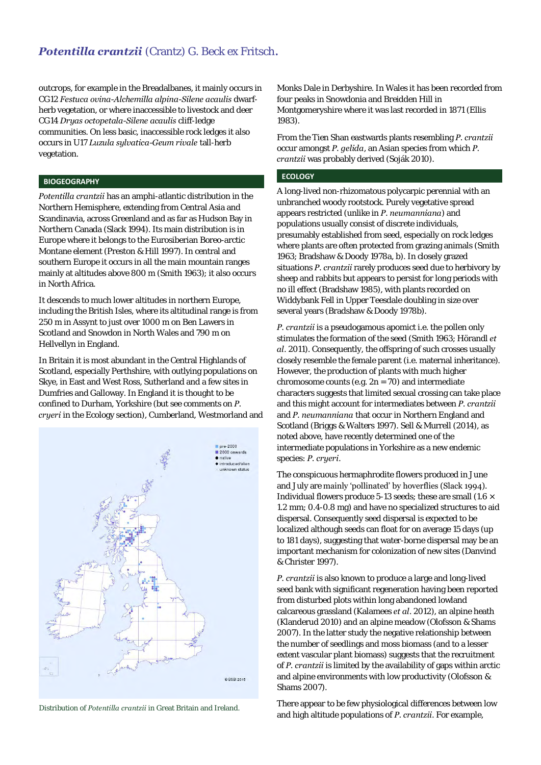### **Potentilla crantzii** (Crantz) G. Beck ex Fritsch.

outcrops, for example in the Breadalbanes, it mainly occurs in CG12 *Festuca ovina-Alchemilla alpina-Silene acaulis* dwarfherb vegetation, or where inaccessible to livestock and deer CG14 *Dryas octopetala-Silene acaulis* cliff-ledge communities. On less basic, inaccessible rock ledges it also occurs in U17 *Luzula sylvatica-Geum rivale* tall-herb vegetation.

### **BIOGEOGRAPHY**

*Potentilla crantzii* has an amphi-atlantic distribution in the Northern Hemisphere, extending from Central Asia and Scandinavia, across Greenland and as far as Hudson Bay in Northern Canada (Slack 1994). Its main distribution is in Europe where it belongs to the Eurosiberian Boreo-arctic Montane element (Preston & Hill 1997). In central and southern Europe it occurs in all the main mountain ranges mainly at altitudes above 800 m (Smith 1963); it also occurs in North Africa.

It descends to much lower altitudes in northern Europe, including the British Isles, where its altitudinal range is from 250 m in Assynt to just over 1000 m on Ben Lawers in Scotland and Snowdon in North Wales and 790 m on Hellvellyn in England.

In Britain it is most abundant in the Central Highlands of Scotland, especially Perthshire, with outlying populations on Skye, in East and West Ross, Sutherland and a few sites in Dumfries and Galloway. In England it is thought to be confined to Durham, Yorkshire (but see comments on *P. cryeri* in the Ecology section), Cumberland, Westmorland and



Distribution of *Potentilla crantzii* in Great Britain and Ireland.

Monks Dale in Derbyshire. In Wales it has been recorded from four peaks in Snowdonia and Breidden Hill in Montgomeryshire where it was last recorded in 1871 (Ellis 1983).

From the Tien Shan eastwards plants resembling *P. crantzii* occur amongst *P. gelida*, an Asian species from which *P. crantzii* was probably derived (Soják 2010).

### **ECOLOGY**

A long-lived non-rhizomatous polycarpic perennial with an unbranched woody rootstock. Purely vegetative spread appears restricted (unlike in *P. neumanniana*) and populations usually consist of discrete individuals, presumably established from seed, especially on rock ledges where plants are often protected from grazing animals (Smith 1963; Bradshaw & Doody 1978a, b). In closely grazed situations *P. crantzii* rarely produces seed due to herbivory by sheep and rabbits but appears to persist for long periods with no ill effect (Bradshaw 1985), with plants recorded on Widdybank Fell in Upper Teesdale doubling in size over several years (Bradshaw & Doody 1978b).

*P. crantzii* is a pseudogamous apomict i.e. the pollen only stimulates the formation of the seed (Smith 1963; Hörandl *et al*. 2011). Consequently, the offspring of such crosses usually closely resemble the female parent (i.e. maternal inheritance). However, the production of plants with much higher chromosome counts (e.g. 2n = 70) and intermediate characters suggests that limited sexual crossing can take place and this might account for intermediates between *P. crantzii* and *P. neumanniana* that occur in Northern England and Scotland (Briggs & Walters 1997). Sell & Murrell (2014), as noted above, have recently determined one of the intermediate populations in Yorkshire as a new endemic species: *P. cryeri*.

The conspicuous hermaphrodite flowers produced in June and July are mainly 'pollinated' by hoverflies (Slack 1994). Individual flowers produce 5-13 seeds; these are small  $(1.6 \times$ 1.2 mm; 0.4-0.8 mg) and have no specialized structures to aid dispersal. Consequently seed dispersal is expected to be localized although seeds can float for on average 15 days (up to 181 days), suggesting that water-borne dispersal may be an important mechanism for colonization of new sites (Danvind & Christer 1997).

*P. crantzii* is also known to produce a large and long-lived seed bank with significant regeneration having been reported from disturbed plots within long abandoned lowland calcareous grassland (Kalamees *et al*. 2012), an alpine heath (Klanderud 2010) and an alpine meadow (Olofsson & Shams 2007). In the latter study the negative relationship between the number of seedlings and moss biomass (and to a lesser extent vascular plant biomass) suggests that the recruitment of *P. crantzii* is limited by the availability of gaps within arctic and alpine environments with low productivity (Olofsson & Shams 2007).

There appear to be few physiological differences between low and high altitude populations of *P. crantzii*. For example,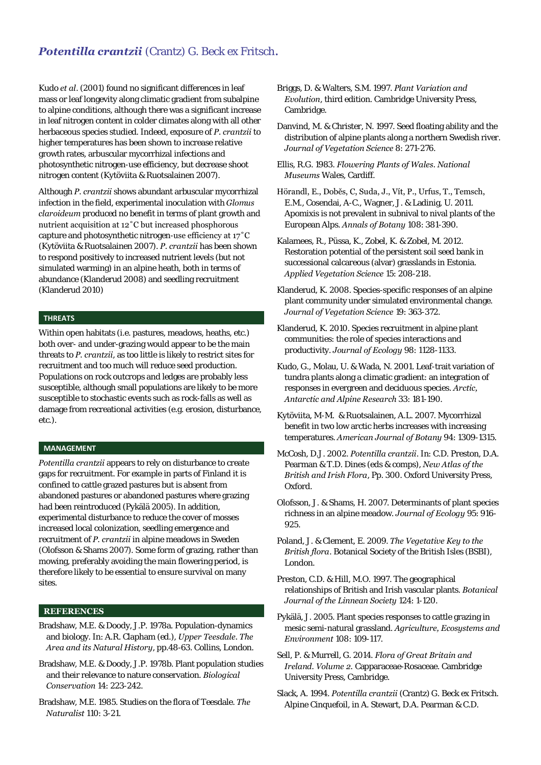### **Potentilla crantzii** (Crantz) G. Beck ex Fritsch.

Kudo *et al*. (2001) found no significant differences in leaf mass or leaf longevity along climatic gradient from subalpine to alpine conditions, although there was a significant increase in leaf nitrogen content in colder climates along with all other herbaceous species studied. Indeed, exposure of *P. crantzii* to higher temperatures has been shown to increase relative growth rates, arbuscular mycorrhizal infections and photosynthetic nitrogen-use efficiency, but decrease shoot nitrogen content (Kytöviita & Ruotsalainen 2007).

Although *P. crantzii* shows abundant arbuscular mycorrhizal infection in the field, experimental inoculation with *Glomus claroideum* produced no benefit in terms of plant growth and nutrient acquisition at 12˚C but increased phosphorous capture and photosynthetic nitrogen-use efficiency at 17˚C (Kytöviita & Ruotsalainen 2007). *P. crantzii* has been shown to respond positively to increased nutrient levels (but not simulated warming) in an alpine heath, both in terms of abundance (Klanderud 2008) and seedling recruitment (Klanderud 2010)

### **THREATS**

Within open habitats (i.e. pastures, meadows, heaths, etc.) both over- and under-grazing would appear to be the main threats to *P. crantzii*, as too little is likely to restrict sites for recruitment and too much will reduce seed production. Populations on rock outcrops and ledges are probably less susceptible, although small populations are likely to be more susceptible to stochastic events such as rock-falls as well as damage from recreational activities (e.g. erosion, disturbance, etc.).

#### **MANAGEMENT**

*Potentilla crantzii* appears to rely on disturbance to create gaps for recruitment. For example in parts of Finland it is confined to cattle grazed pastures but is absent from abandoned pastures or abandoned pastures where grazing had been reintroduced (Pykälä 2005). In addition, experimental disturbance to reduce the cover of mosses increased local colonization, seedling emergence and recruitment of *P. crantzii* in alpine meadows in Sweden (Olofsson & Shams 2007). Some form of grazing, rather than mowing, preferably avoiding the main flowering period, is therefore likely to be essential to ensure survival on many sites.

### **REFERENCES**

- Bradshaw, M.E. & Doody, J.P. 1978a. Population-dynamics and biology. In: A.R. Clapham (ed.), *Upper Teesdale. The Area and its Natural History*, pp.48-63. Collins, London.
- Bradshaw, M.E. & Doody, J.P. 1978b. Plant population studies and their relevance to nature conservation. *Biological Conservation* 14: 223-242.
- Bradshaw, M.E. 1985. Studies on the flora of Teesdale. *The Naturalist* 110: 3-21.
- Briggs, D. & Walters, S.M. 1997. *Plant Variation and Evolution*, third edition. Cambridge University Press, Cambridge.
- Danvind, M. & Christer, N. 1997. Seed floating ability and the distribution of alpine plants along a northern Swedish river. *Journal of Vegetation Science* 8: 271-276.
- Ellis, R.G. 1983. *Flowering Plants of Wales. National Museums* Wales, Cardiff.
- Hörandl, E., Doběs, C, Suda, J., Vít, P., Urfus, T., Temsch, E.M., Cosendai, A-C., Wagner, J. & Ladinig, U. 2011. Apomixis is not prevalent in subnival to nival plants of the European Alps. *Annals of Botany* 108: 381-390.
- Kalamees, R., Püssa, K., Zobel, K. & Zobel, M. 2012. Restoration potential of the persistent soil seed bank in successional calcareous (alvar) grasslands in Estonia. *Applied Vegetation Science* 15: 208-218.
- Klanderud, K. 2008. Species-specific responses of an alpine plant community under simulated environmental change. *Journal of Vegetation Science* 19: 363-372.
- Klanderud, K. 2010. Species recruitment in alpine plant communities: the role of species interactions and productivity. *Journal of Ecology* 98: 1128-1133.
- Kudo, G., Molau, U. & Wada, N. 2001. Leaf-trait variation of tundra plants along a climatic gradient: an integration of responses in evergreen and deciduous species. *Arctic, Antarctic and Alpine Research* 33: 181-190.
- Kytöviita, M-M. & Ruotsalainen, A.L. 2007. Mycorrhizal benefit in two low arctic herbs increases with increasing temperatures. *American Journal of Botany* 94: 1309-1315.
- McCosh, D.J. 2002. *Potentilla crantzii*. In: C.D. Preston, D.A. Pearman & T.D. Dines (eds & comps), *New Atlas of the British and Irish Flora*, Pp. 300. Oxford University Press, Oxford.
- Olofsson, J. & Shams, H. 2007. Determinants of plant species richness in an alpine meadow. *Journal of Ecology* 95: 916- 925.
- Poland, J. & Clement, E. 2009. *The Vegetative Key to the British flora*. Botanical Society of the British Isles (BSBI), London.
- Preston, C.D. & Hill, M.O. 1997. The geographical relationships of British and Irish vascular plants. *Botanical Journal of the Linnean Society* 124: 1-120.
- Pykälä, J. 2005. Plant species responses to cattle grazing in mesic semi-natural grassland. *Agriculture, Ecosystems and Environment* 108: 109-117.
- Sell, P. & Murrell, G. 2014. *Flora of Great Britain and Ireland. Volume 2.* Capparaceae-Rosaceae. Cambridge University Press, Cambridge.
- Slack, A. 1994. *Potentilla crantzii* (Crantz) G. Beck ex Fritsch. Alpine Cinquefoil, in A. Stewart, D.A. Pearman & C.D.